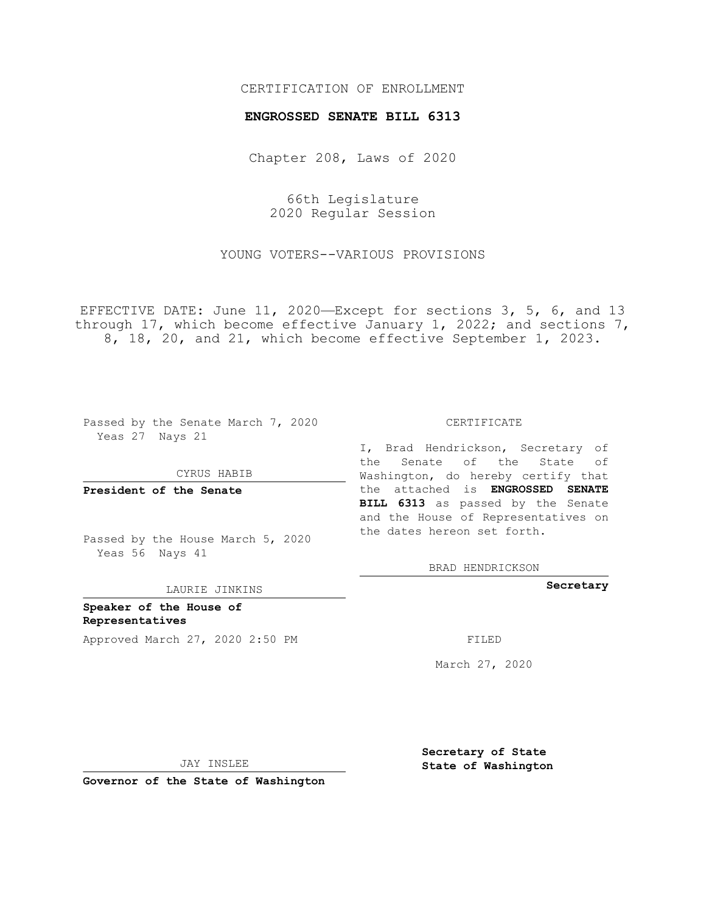## CERTIFICATION OF ENROLLMENT

### **ENGROSSED SENATE BILL 6313**

Chapter 208, Laws of 2020

66th Legislature 2020 Regular Session

YOUNG VOTERS--VARIOUS PROVISIONS

EFFECTIVE DATE: June 11, 2020—Except for sections 3, 5, 6, and 13 through 17, which become effective January 1, 2022; and sections 7, 8, 18, 20, and 21, which become effective September 1, 2023.

Passed by the Senate March 7, 2020 Yeas 27 Nays 21

CYRUS HABIB

**President of the Senate**

Passed by the House March 5, 2020 Yeas 56 Nays 41

LAURIE JINKINS

**Speaker of the House of Representatives** Approved March 27, 2020 2:50 PM FILED

CERTIFICATE

I, Brad Hendrickson, Secretary of the Senate of the State of Washington, do hereby certify that the attached is **ENGROSSED SENATE BILL 6313** as passed by the Senate and the House of Representatives on the dates hereon set forth.

BRAD HENDRICKSON

**Secretary**

March 27, 2020

JAY INSLEE

**Governor of the State of Washington**

**Secretary of State State of Washington**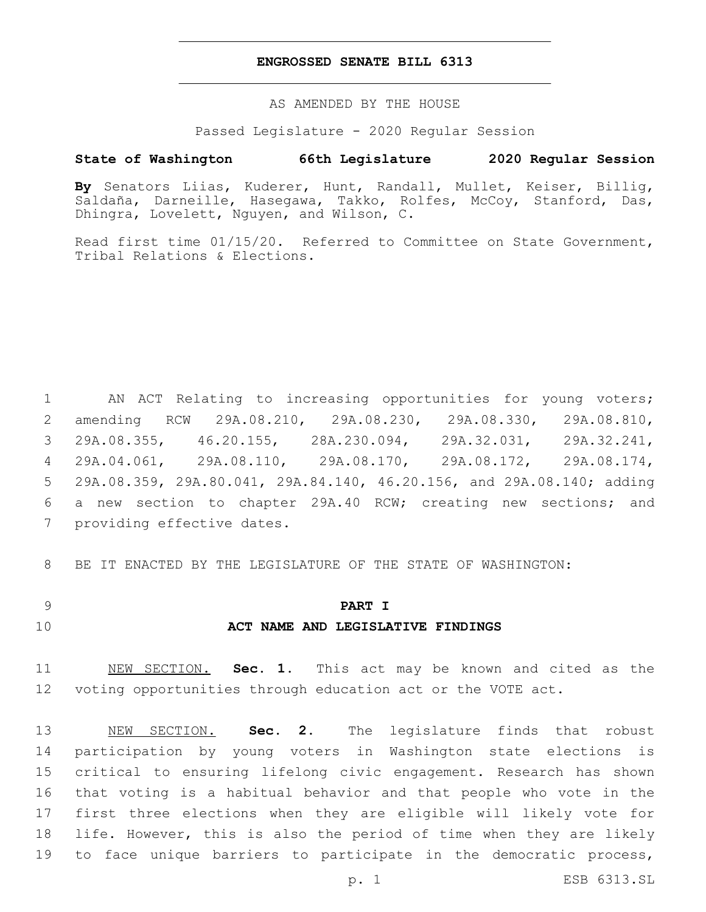### **ENGROSSED SENATE BILL 6313**

AS AMENDED BY THE HOUSE

Passed Legislature - 2020 Regular Session

## **State of Washington 66th Legislature 2020 Regular Session**

**By** Senators Liias, Kuderer, Hunt, Randall, Mullet, Keiser, Billig, Saldaña, Darneille, Hasegawa, Takko, Rolfes, McCoy, Stanford, Das, Dhingra, Lovelett, Nguyen, and Wilson, C.

Read first time 01/15/20. Referred to Committee on State Government, Tribal Relations & Elections.

1 AN ACT Relating to increasing opportunities for young voters; amending RCW 29A.08.210, 29A.08.230, 29A.08.330, 29A.08.810, 29A.08.355, 46.20.155, 28A.230.094, 29A.32.031, 29A.32.241, 29A.04.061, 29A.08.110, 29A.08.170, 29A.08.172, 29A.08.174, 29A.08.359, 29A.80.041, 29A.84.140, 46.20.156, and 29A.08.140; adding a new section to chapter 29A.40 RCW; creating new sections; and 7 providing effective dates.

8 BE IT ENACTED BY THE LEGISLATURE OF THE STATE OF WASHINGTON:

## 9 **PART I**

## 10 **ACT NAME AND LEGISLATIVE FINDINGS**

11 NEW SECTION. **Sec. 1.** This act may be known and cited as the 12 voting opportunities through education act or the VOTE act.

 NEW SECTION. **Sec. 2.** The legislature finds that robust participation by young voters in Washington state elections is critical to ensuring lifelong civic engagement. Research has shown that voting is a habitual behavior and that people who vote in the first three elections when they are eligible will likely vote for life. However, this is also the period of time when they are likely to face unique barriers to participate in the democratic process,

p. 1 ESB 6313.SL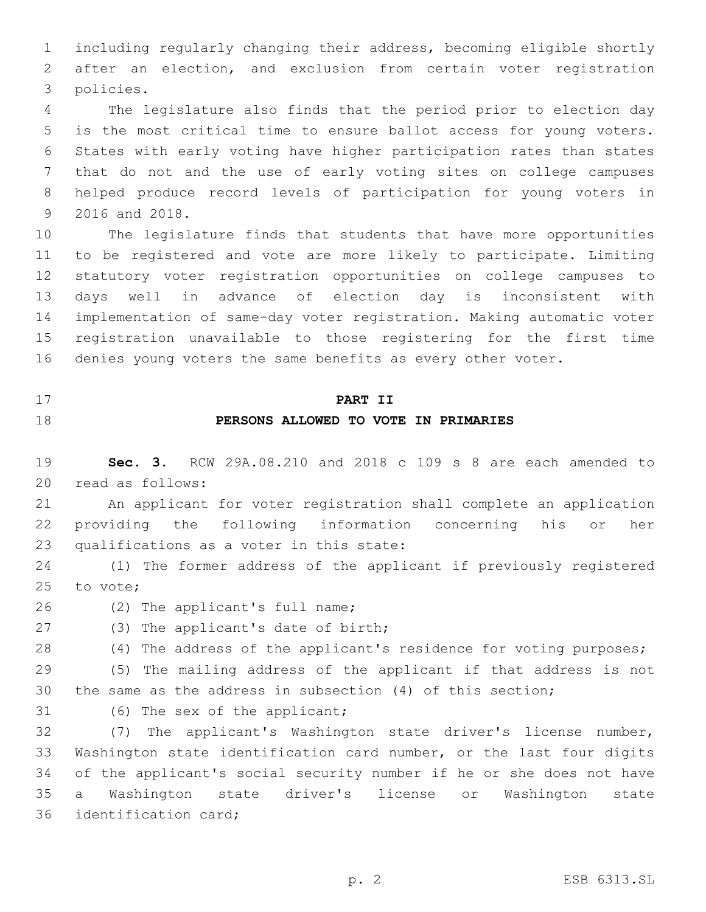including regularly changing their address, becoming eligible shortly after an election, and exclusion from certain voter registration policies.3

 The legislature also finds that the period prior to election day is the most critical time to ensure ballot access for young voters. States with early voting have higher participation rates than states that do not and the use of early voting sites on college campuses helped produce record levels of participation for young voters in 9 2016 and 2018.

 The legislature finds that students that have more opportunities to be registered and vote are more likely to participate. Limiting statutory voter registration opportunities on college campuses to days well in advance of election day is inconsistent with implementation of same-day voter registration. Making automatic voter registration unavailable to those registering for the first time 16 denies young voters the same benefits as every other voter.

## **PART II**

## **PERSONS ALLOWED TO VOTE IN PRIMARIES**

 **Sec. 3.** RCW 29A.08.210 and 2018 c 109 s 8 are each amended to read as follows:20

 An applicant for voter registration shall complete an application providing the following information concerning his or her 23 qualifications as a voter in this state:

 (1) The former address of the applicant if previously registered 25 to vote;

26 (2) The applicant's full name;

27 (3) The applicant's date of birth;

(4) The address of the applicant's residence for voting purposes;

 (5) The mailing address of the applicant if that address is not the same as the address in subsection (4) of this section;

31 (6) The sex of the applicant;

 (7) The applicant's Washington state driver's license number, Washington state identification card number, or the last four digits of the applicant's social security number if he or she does not have a Washington state driver's license or Washington state 36 identification card: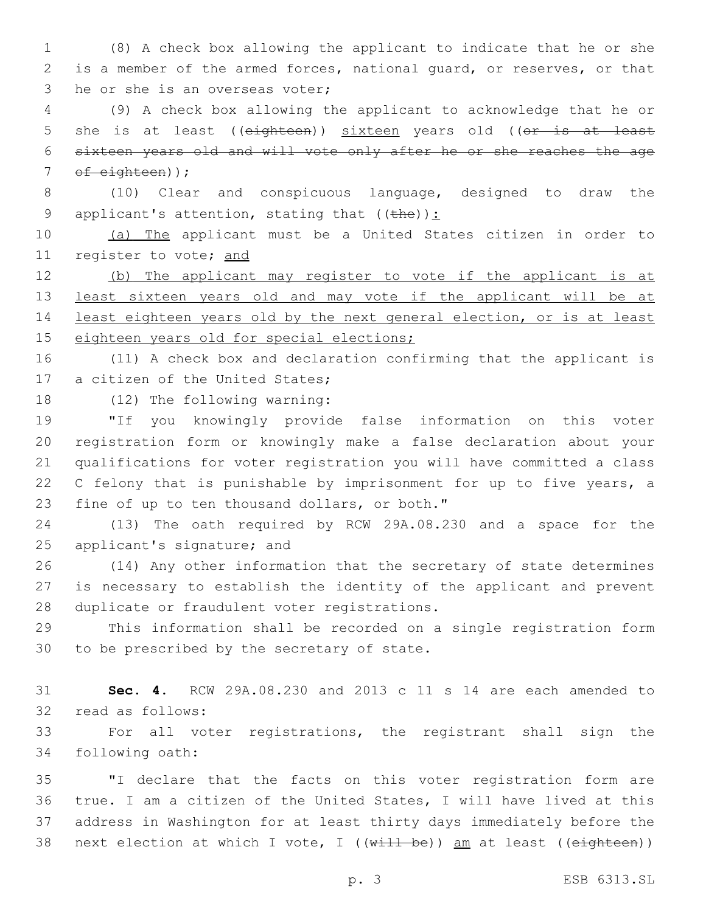1 (8) A check box allowing the applicant to indicate that he or she 2 is a member of the armed forces, national guard, or reserves, or that 3 he or she is an overseas voter;

4 (9) A check box allowing the applicant to acknowledge that he or 5 she is at least ((eighteen)) sixteen years old ((or is at least 6 sixteen years old and will vote only after he or she reaches the age 7 of eighteen));

8 (10) Clear and conspicuous language, designed to draw the 9 applicant's attention, stating that  $((the h))$ :

10 (a) The applicant must be a United States citizen in order to 11 register to vote; and

12 (b) The applicant may register to vote if the applicant is at 13 least sixteen years old and may vote if the applicant will be at 14 least eighteen years old by the next general election, or is at least 15 eighteen years old for special elections;

16 (11) A check box and declaration confirming that the applicant is 17 a citizen of the United States;

18 (12) The following warning:

19 "If you knowingly provide false information on this voter 20 registration form or knowingly make a false declaration about your 21 qualifications for voter registration you will have committed a class 22 C felony that is punishable by imprisonment for up to five years, a 23 fine of up to ten thousand dollars, or both."

24 (13) The oath required by RCW 29A.08.230 and a space for the 25 applicant's signature; and

26 (14) Any other information that the secretary of state determines 27 is necessary to establish the identity of the applicant and prevent 28 duplicate or fraudulent voter registrations.

29 This information shall be recorded on a single registration form 30 to be prescribed by the secretary of state.

31 **Sec. 4.** RCW 29A.08.230 and 2013 c 11 s 14 are each amended to 32 read as follows:

33 For all voter registrations, the registrant shall sign the 34 following oath:

 "I declare that the facts on this voter registration form are true. I am a citizen of the United States, I will have lived at this address in Washington for at least thirty days immediately before the 38 next election at which I vote, I (( $\overline{with}$  be)) am at least (( $\overline{eighteen}$ ))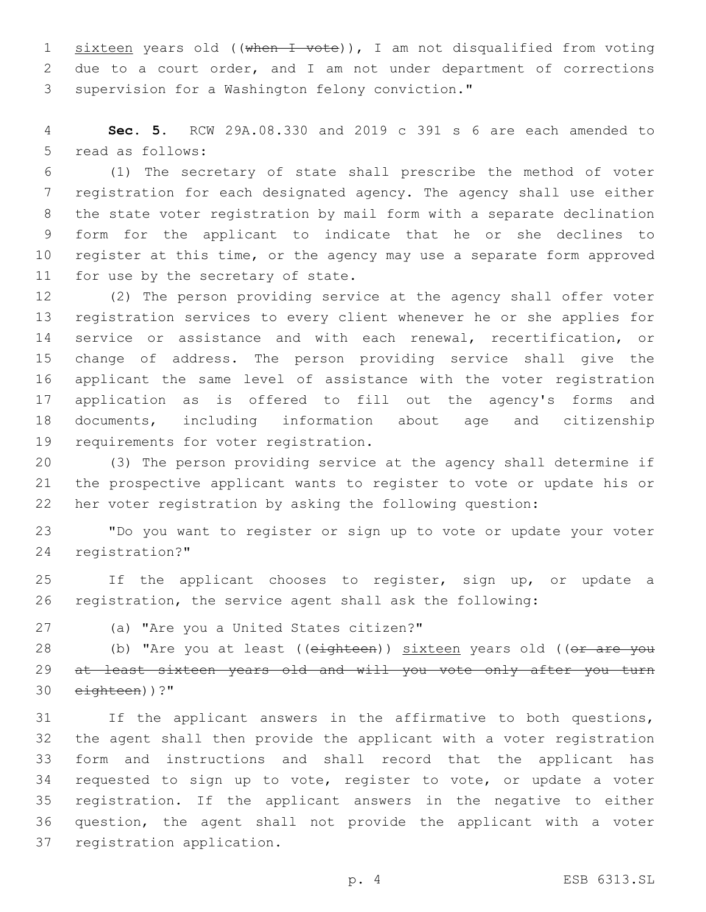1 sixteen years old ((when I vote)), I am not disqualified from voting due to a court order, and I am not under department of corrections 3 supervision for a Washington felony conviction."

 **Sec. 5.** RCW 29A.08.330 and 2019 c 391 s 6 are each amended to 5 read as follows:

 (1) The secretary of state shall prescribe the method of voter registration for each designated agency. The agency shall use either the state voter registration by mail form with a separate declination form for the applicant to indicate that he or she declines to register at this time, or the agency may use a separate form approved 11 for use by the secretary of state.

 (2) The person providing service at the agency shall offer voter registration services to every client whenever he or she applies for 14 service or assistance and with each renewal, recertification, or change of address. The person providing service shall give the applicant the same level of assistance with the voter registration application as is offered to fill out the agency's forms and documents, including information about age and citizenship 19 requirements for voter registration.

 (3) The person providing service at the agency shall determine if the prospective applicant wants to register to vote or update his or her voter registration by asking the following question:

 "Do you want to register or sign up to vote or update your voter 24 registration?"

 If the applicant chooses to register, sign up, or update a registration, the service agent shall ask the following:

27 (a) "Are you a United States citizen?"

28 (b) "Are you at least ((eighteen)) sixteen years old ((or are you 29 at least sixteen years old and will you vote only after you turn 30 eighteen))?"

 If the applicant answers in the affirmative to both questions, the agent shall then provide the applicant with a voter registration form and instructions and shall record that the applicant has requested to sign up to vote, register to vote, or update a voter registration. If the applicant answers in the negative to either question, the agent shall not provide the applicant with a voter 37 registration application.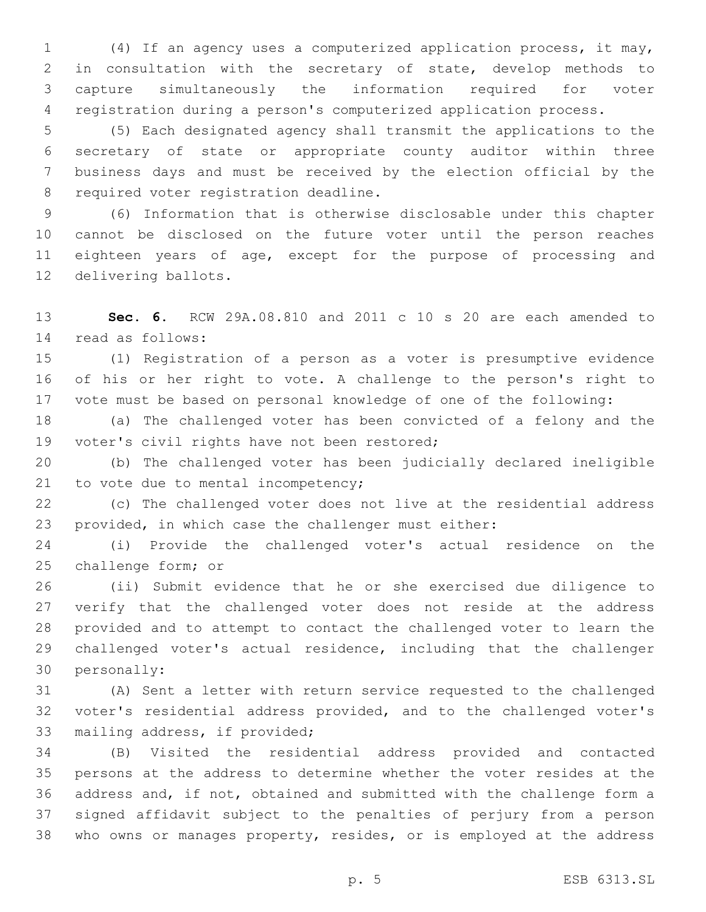(4) If an agency uses a computerized application process, it may, in consultation with the secretary of state, develop methods to capture simultaneously the information required for voter registration during a person's computerized application process.

 (5) Each designated agency shall transmit the applications to the secretary of state or appropriate county auditor within three business days and must be received by the election official by the 8 required voter registration deadline.

 (6) Information that is otherwise disclosable under this chapter cannot be disclosed on the future voter until the person reaches 11 eighteen years of age, except for the purpose of processing and 12 delivering ballots.

 **Sec. 6.** RCW 29A.08.810 and 2011 c 10 s 20 are each amended to read as follows:14

 (1) Registration of a person as a voter is presumptive evidence of his or her right to vote. A challenge to the person's right to vote must be based on personal knowledge of one of the following:

 (a) The challenged voter has been convicted of a felony and the 19 voter's civil rights have not been restored;

 (b) The challenged voter has been judicially declared ineligible 21 to vote due to mental incompetency;

 (c) The challenged voter does not live at the residential address provided, in which case the challenger must either:

 (i) Provide the challenged voter's actual residence on the 25 challenge form; or

 (ii) Submit evidence that he or she exercised due diligence to verify that the challenged voter does not reside at the address provided and to attempt to contact the challenged voter to learn the challenged voter's actual residence, including that the challenger 30 personally:

 (A) Sent a letter with return service requested to the challenged voter's residential address provided, and to the challenged voter's 33 mailing address, if provided;

 (B) Visited the residential address provided and contacted persons at the address to determine whether the voter resides at the address and, if not, obtained and submitted with the challenge form a signed affidavit subject to the penalties of perjury from a person who owns or manages property, resides, or is employed at the address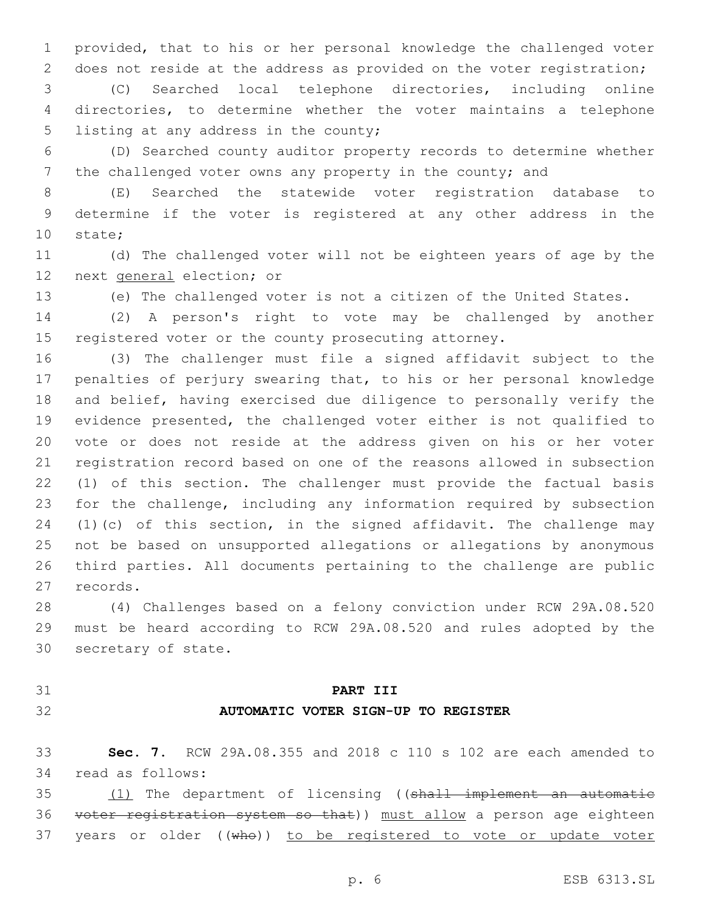provided, that to his or her personal knowledge the challenged voter does not reside at the address as provided on the voter registration;

 (C) Searched local telephone directories, including online directories, to determine whether the voter maintains a telephone 5 listing at any address in the county;

 (D) Searched county auditor property records to determine whether 7 the challenged voter owns any property in the county; and

 (E) Searched the statewide voter registration database to determine if the voter is registered at any other address in the 10 state;

 (d) The challenged voter will not be eighteen years of age by the 12 next general election; or

(e) The challenged voter is not a citizen of the United States.

 (2) A person's right to vote may be challenged by another registered voter or the county prosecuting attorney.

 (3) The challenger must file a signed affidavit subject to the penalties of perjury swearing that, to his or her personal knowledge and belief, having exercised due diligence to personally verify the evidence presented, the challenged voter either is not qualified to vote or does not reside at the address given on his or her voter registration record based on one of the reasons allowed in subsection (1) of this section. The challenger must provide the factual basis for the challenge, including any information required by subsection (1)(c) of this section, in the signed affidavit. The challenge may not be based on unsupported allegations or allegations by anonymous third parties. All documents pertaining to the challenge are public 27 records.

 (4) Challenges based on a felony conviction under RCW 29A.08.520 must be heard according to RCW 29A.08.520 and rules adopted by the 30 secretary of state.

# **PART III**

## **AUTOMATIC VOTER SIGN-UP TO REGISTER**

 **Sec. 7.** RCW 29A.08.355 and 2018 c 110 s 102 are each amended to 34 read as follows:

 (1) The department of licensing ((shall implement an automatic 36 voter registration system so that)) must allow a person age eighteen 37 years or older ((who)) to be registered to vote or update voter

p. 6 ESB 6313.SL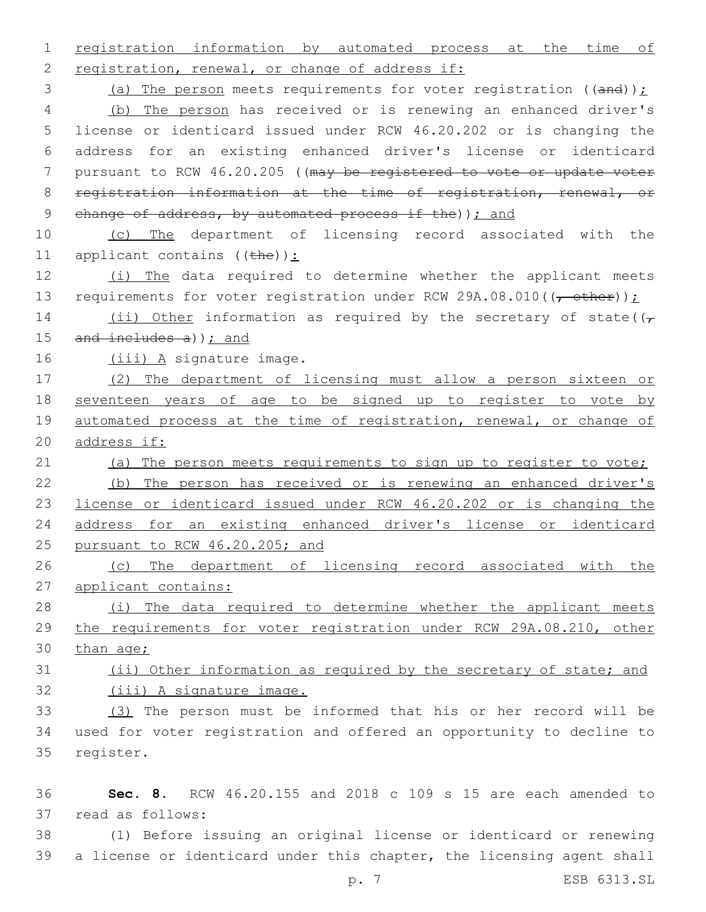1 registration information by automated process at the time of 2 registration, renewal, or change of address if: 3 (a) The person meets requirements for voter registration ((and)); 4 (b) The person has received or is renewing an enhanced driver's 5 license or identicard issued under RCW 46.20.202 or is changing the 6 address for an existing enhanced driver's license or identicard 7 pursuant to RCW 46.20.205 ((may be registered to vote or update voter 8 registration information at the time of registration, renewal, or 9 change of address, by automated process if the)); and 10 (c) The department of licensing record associated with the 11 applicant contains ((the)): 12 (i) The data required to determine whether the applicant meets 13 requirements for voter registration under RCW 29A.08.010( $(\tau$ -other)); 14 (ii) Other information as required by the secretary of state( $(\tau$ 15  $and$  includes a)); and 16 (iii) A signature image. 17 (2) The department of licensing must allow a person sixteen or 18 seventeen years of age to be signed up to register to vote by 19 automated process at the time of registration, renewal, or change of 20 address if: 21 (a) The person meets requirements to sign up to register to vote; 22 (b) The person has received or is renewing an enhanced driver's 23 license or identicard issued under RCW 46.20.202 or is changing the 24 address for an existing enhanced driver's license or identicard 25 pursuant to RCW 46.20.205; and 26 (c) The department of licensing record associated with the 27 applicant contains: 28 (i) The data required to determine whether the applicant meets 29 the requirements for voter registration under RCW 29A.08.210, other 30 than age; 31 (ii) Other information as required by the secretary of state; and 32 (iii) A signature image. 33 (3) The person must be informed that his or her record will be 34 used for voter registration and offered an opportunity to decline to 35 register. 36 **Sec. 8.** RCW 46.20.155 and 2018 c 109 s 15 are each amended to

37 read as follows:

38 (1) Before issuing an original license or identicard or renewing 39 a license or identicard under this chapter, the licensing agent shall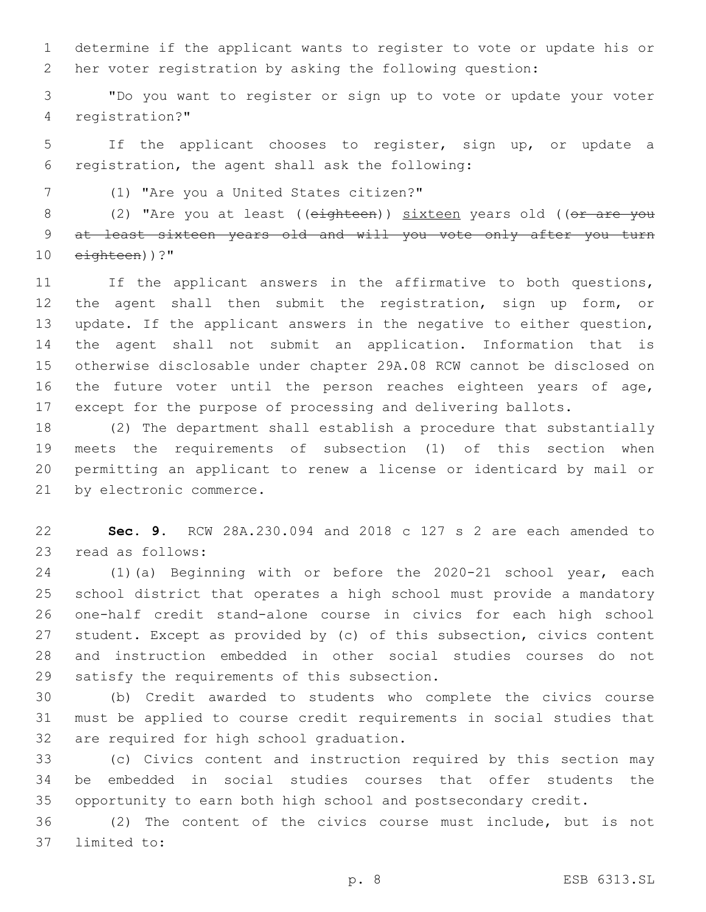determine if the applicant wants to register to vote or update his or her voter registration by asking the following question:

 "Do you want to register or sign up to vote or update your voter registration?"4

 If the applicant chooses to register, sign up, or update a registration, the agent shall ask the following:6

7 (1) "Are you a United States citizen?"

8 (2) "Are you at least ((eighteen)) sixteen years old ((or are you 9 at least sixteen years old and will you vote only after you turn 10 eighteen))?"

 If the applicant answers in the affirmative to both questions, the agent shall then submit the registration, sign up form, or update. If the applicant answers in the negative to either question, the agent shall not submit an application. Information that is otherwise disclosable under chapter 29A.08 RCW cannot be disclosed on the future voter until the person reaches eighteen years of age, except for the purpose of processing and delivering ballots.

 (2) The department shall establish a procedure that substantially meets the requirements of subsection (1) of this section when permitting an applicant to renew a license or identicard by mail or 21 by electronic commerce.

 **Sec. 9.** RCW 28A.230.094 and 2018 c 127 s 2 are each amended to 23 read as follows:

 (1)(a) Beginning with or before the 2020-21 school year, each school district that operates a high school must provide a mandatory one-half credit stand-alone course in civics for each high school student. Except as provided by (c) of this subsection, civics content and instruction embedded in other social studies courses do not 29 satisfy the requirements of this subsection.

 (b) Credit awarded to students who complete the civics course must be applied to course credit requirements in social studies that 32 are required for high school graduation.

 (c) Civics content and instruction required by this section may be embedded in social studies courses that offer students the opportunity to earn both high school and postsecondary credit.

 (2) The content of the civics course must include, but is not 37 limited to: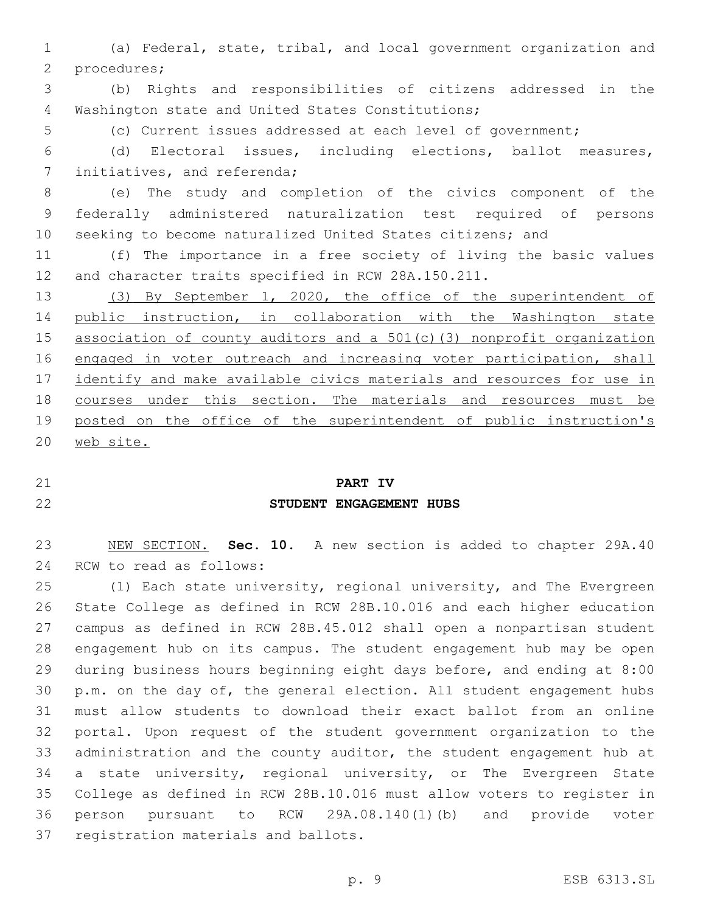(a) Federal, state, tribal, and local government organization and 2 procedures;

 (b) Rights and responsibilities of citizens addressed in the Washington state and United States Constitutions;4

(c) Current issues addressed at each level of government;

 (d) Electoral issues, including elections, ballot measures, 7 initiatives, and referenda;

 (e) The study and completion of the civics component of the federally administered naturalization test required of persons seeking to become naturalized United States citizens; and

 (f) The importance in a free society of living the basic values and character traits specified in RCW 28A.150.211.

 (3) By September 1, 2020, the office of the superintendent of public instruction, in collaboration with the Washington state association of county auditors and a 501(c)(3) nonprofit organization engaged in voter outreach and increasing voter participation, shall 17 identify and make available civics materials and resources for use in courses under this section. The materials and resources must be posted on the office of the superintendent of public instruction's web site.

 **PART IV STUDENT ENGAGEMENT HUBS**

 NEW SECTION. **Sec. 10.** A new section is added to chapter 29A.40 24 RCW to read as follows:

 (1) Each state university, regional university, and The Evergreen State College as defined in RCW 28B.10.016 and each higher education campus as defined in RCW 28B.45.012 shall open a nonpartisan student engagement hub on its campus. The student engagement hub may be open during business hours beginning eight days before, and ending at 8:00 p.m. on the day of, the general election. All student engagement hubs must allow students to download their exact ballot from an online portal. Upon request of the student government organization to the administration and the county auditor, the student engagement hub at a state university, regional university, or The Evergreen State College as defined in RCW 28B.10.016 must allow voters to register in person pursuant to RCW 29A.08.140(1)(b) and provide voter 37 registration materials and ballots.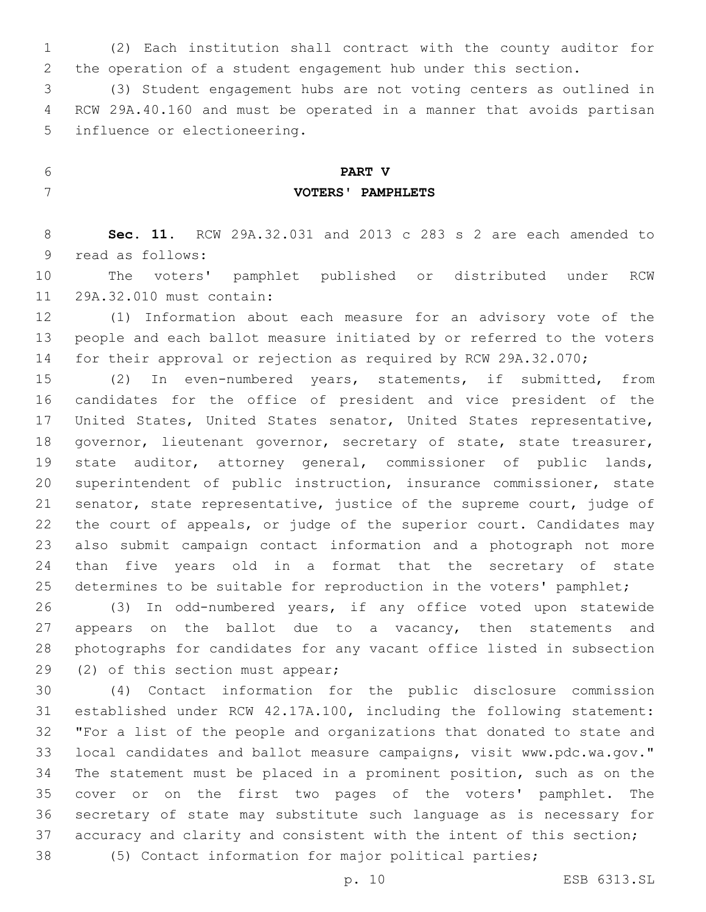(2) Each institution shall contract with the county auditor for the operation of a student engagement hub under this section.

 (3) Student engagement hubs are not voting centers as outlined in RCW 29A.40.160 and must be operated in a manner that avoids partisan 5 influence or electioneering.

## **PART V VOTERS' PAMPHLETS**

 **Sec. 11.** RCW 29A.32.031 and 2013 c 283 s 2 are each amended to 9 read as follows:

 The voters' pamphlet published or distributed under RCW 11 29A.32.010 must contain:

 (1) Information about each measure for an advisory vote of the people and each ballot measure initiated by or referred to the voters 14 for their approval or rejection as required by RCW 29A.32.070;

 (2) In even-numbered years, statements, if submitted, from candidates for the office of president and vice president of the United States, United States senator, United States representative, 18 governor, lieutenant governor, secretary of state, state treasurer, state auditor, attorney general, commissioner of public lands, superintendent of public instruction, insurance commissioner, state senator, state representative, justice of the supreme court, judge of the court of appeals, or judge of the superior court. Candidates may also submit campaign contact information and a photograph not more than five years old in a format that the secretary of state 25 determines to be suitable for reproduction in the voters' pamphlet;

 (3) In odd-numbered years, if any office voted upon statewide 27 appears on the ballot due to a vacancy, then statements and photographs for candidates for any vacant office listed in subsection 29 (2) of this section must appear;

 (4) Contact information for the public disclosure commission established under RCW 42.17A.100, including the following statement: "For a list of the people and organizations that donated to state and local candidates and ballot measure campaigns, visit www.pdc.wa.gov." The statement must be placed in a prominent position, such as on the cover or on the first two pages of the voters' pamphlet. The secretary of state may substitute such language as is necessary for accuracy and clarity and consistent with the intent of this section; (5) Contact information for major political parties;

p. 10 ESB 6313.SL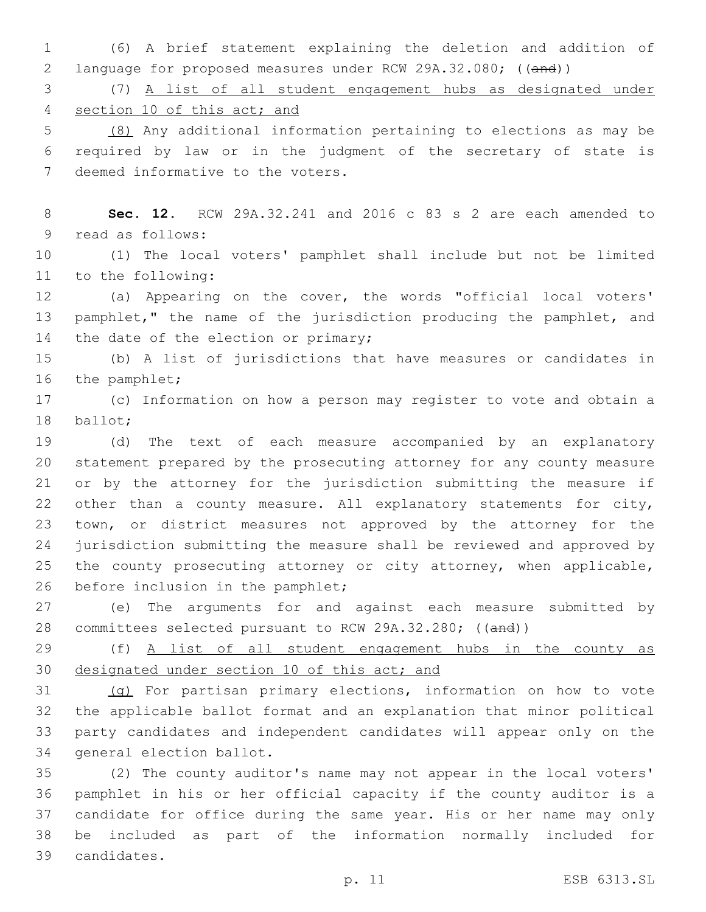(6) A brief statement explaining the deletion and addition of language for proposed measures under RCW 29A.32.080; ((and))

 (7) A list of all student engagement hubs as designated under section 10 of this act; and

 (8) Any additional information pertaining to elections as may be required by law or in the judgment of the secretary of state is 7 deemed informative to the voters.

 **Sec. 12.** RCW 29A.32.241 and 2016 c 83 s 2 are each amended to 9 read as follows:

 (1) The local voters' pamphlet shall include but not be limited 11 to the following:

 (a) Appearing on the cover, the words "official local voters' pamphlet," the name of the jurisdiction producing the pamphlet, and 14 the date of the election or primary;

 (b) A list of jurisdictions that have measures or candidates in 16 the pamphlet;

 (c) Information on how a person may register to vote and obtain a 18 ballot;

 (d) The text of each measure accompanied by an explanatory statement prepared by the prosecuting attorney for any county measure or by the attorney for the jurisdiction submitting the measure if 22 other than a county measure. All explanatory statements for city, town, or district measures not approved by the attorney for the jurisdiction submitting the measure shall be reviewed and approved by 25 the county prosecuting attorney or city attorney, when applicable, 26 before inclusion in the pamphlet;

 (e) The arguments for and against each measure submitted by 28 committees selected pursuant to RCW 29A.32.280; ((and))

 (f) A list of all student engagement hubs in the county as designated under section 10 of this act; and

 (g) For partisan primary elections, information on how to vote the applicable ballot format and an explanation that minor political party candidates and independent candidates will appear only on the 34 general election ballot.

 (2) The county auditor's name may not appear in the local voters' pamphlet in his or her official capacity if the county auditor is a candidate for office during the same year. His or her name may only be included as part of the information normally included for candidates.39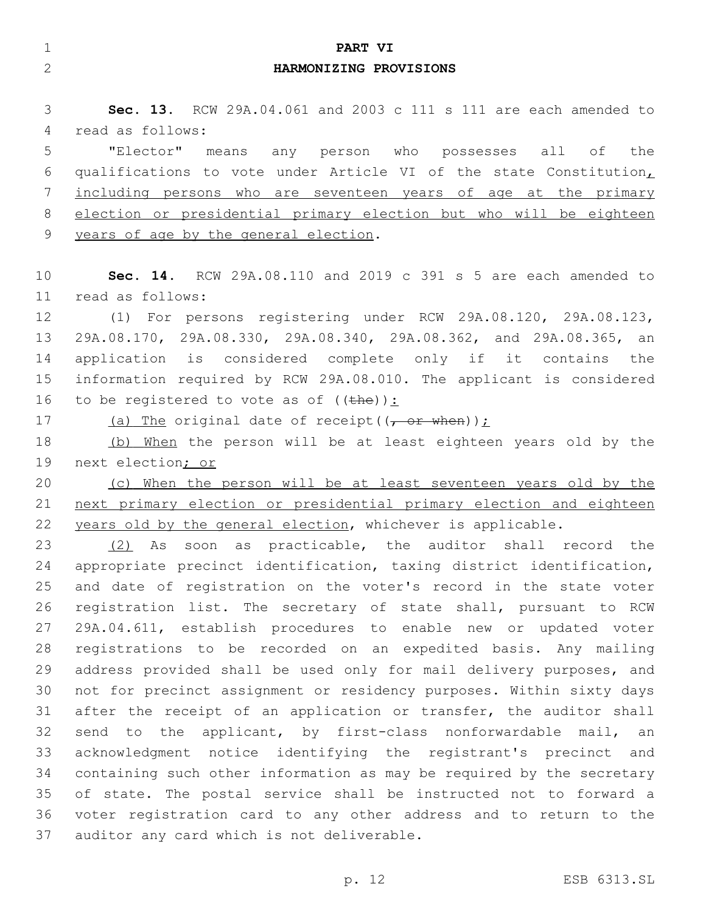| $\mathbf 1$    | PART VI                                                               |
|----------------|-----------------------------------------------------------------------|
| $\overline{2}$ | HARMONIZING PROVISIONS                                                |
| 3              | Sec. 13. RCW 29A.04.061 and 2003 c 111 s 111 are each amended to      |
| 4              | read as follows:                                                      |
| 5              | "Elector" means any person who possesses all of the                   |
| 6              | qualifications to vote under Article VI of the state Constitution,    |
| 7              | including persons who are seventeen years of age at the primary       |
| 8              | election or presidential primary election but who will be eighteen    |
| 9              | years of age by the general election.                                 |
| 10             | Sec. 14. RCW 29A.08.110 and 2019 c 391 s 5 are each amended to        |
| 11             | read as follows:                                                      |
| 12             | $(1)$ For persons registering under RCW 29A.08.120, 29A.08.123,       |
| 13             | 29A.08.170, 29A.08.330, 29A.08.340, 29A.08.362, and 29A.08.365, an    |
| 14             | application is considered complete only if it contains the            |
| 15             | information required by RCW 29A.08.010. The applicant is considered   |
| 16             | to be registered to vote as of $((the))$ :                            |
| 17             | (a) The original date of receipt( $(-$ or when));                     |
| 18             | (b) When the person will be at least eighteen years old by the        |
| 19             | next election; or                                                     |
| 20             | (c) When the person will be at least seventeen years old by the       |
| 21             | next primary election or presidential primary election and eighteen   |
| 22             | years old by the general election, whichever is applicable.           |
| 23             | soon as practicable, the auditor shall record the<br>(2)<br>As        |
| 24             | appropriate precinct identification, taxing district identification,  |
| 25             | and date of registration on the voter's record in the state voter     |
| 26             | registration list. The secretary of state shall, pursuant to RCW      |
| 27             | 29A.04.611, establish procedures to enable new or updated voter       |
| 28             | registrations to be recorded on an expedited basis. Any mailing       |
| 29             | address provided shall be used only for mail delivery purposes, and   |
| 30             | not for precinct assignment or residency purposes. Within sixty days  |
| 31             | after the receipt of an application or transfer, the auditor shall    |
| 32             | send to the applicant, by first-class nonforwardable mail, an         |
| 33             | acknowledgment notice identifying the registrant's precinct and       |
| 34             | containing such other information as may be required by the secretary |
| 35             | of state. The postal service shall be instructed not to forward a     |
| 36             | voter registration card to any other address and to return to the     |
| 37             | auditor any card which is not deliverable.                            |
|                |                                                                       |
|                | p. 12<br>ESB 6313.SL                                                  |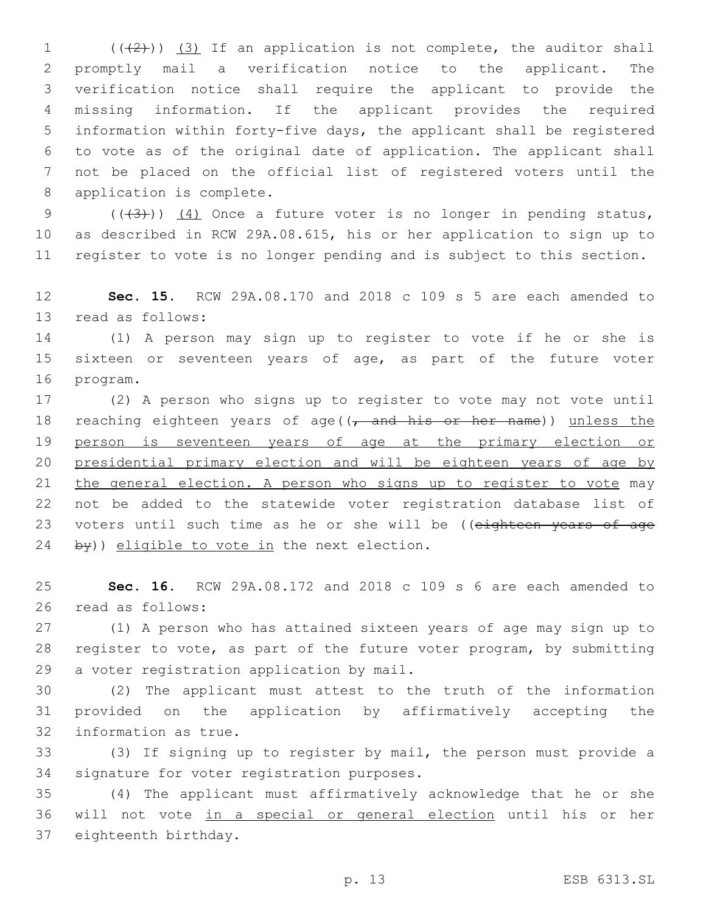$(1)$   $(1)$   $(2)$ )  $(3)$  If an application is not complete, the auditor shall promptly mail a verification notice to the applicant. The verification notice shall require the applicant to provide the missing information. If the applicant provides the required information within forty-five days, the applicant shall be registered to vote as of the original date of application. The applicant shall not be placed on the official list of registered voters until the 8 application is complete.

9  $((\overline{3}))(4)$  Once a future voter is no longer in pending status, as described in RCW 29A.08.615, his or her application to sign up to register to vote is no longer pending and is subject to this section.

 **Sec. 15.** RCW 29A.08.170 and 2018 c 109 s 5 are each amended to 13 read as follows:

 (1) A person may sign up to register to vote if he or she is sixteen or seventeen years of age, as part of the future voter 16 program.

 (2) A person who signs up to register to vote may not vote until 18 reaching eighteen years of age( $(\tau$  and his or her name)) unless the 19 person is seventeen years of age at the primary election or presidential primary election and will be eighteen years of age by the general election. A person who signs up to register to vote may not be added to the statewide voter registration database list of 23 voters until such time as he or she will be ((eighteen years of age by)) eligible to vote in the next election.

 **Sec. 16.** RCW 29A.08.172 and 2018 c 109 s 6 are each amended to 26 read as follows:

 (1) A person who has attained sixteen years of age may sign up to register to vote, as part of the future voter program, by submitting 29 a voter registration application by mail.

 (2) The applicant must attest to the truth of the information provided on the application by affirmatively accepting the 32 information as true.

 (3) If signing up to register by mail, the person must provide a 34 signature for voter registration purposes.

 (4) The applicant must affirmatively acknowledge that he or she will not vote in a special or general election until his or her 37 eighteenth birthday.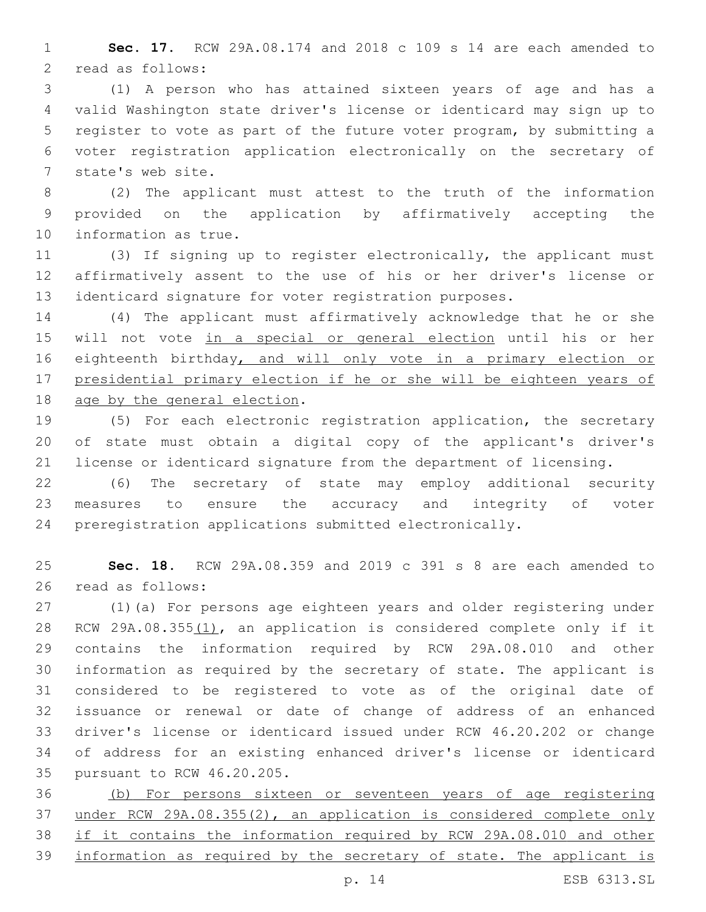**Sec. 17.** RCW 29A.08.174 and 2018 c 109 s 14 are each amended to 2 read as follows:

 (1) A person who has attained sixteen years of age and has a valid Washington state driver's license or identicard may sign up to register to vote as part of the future voter program, by submitting a voter registration application electronically on the secretary of 7 state's web site.

 (2) The applicant must attest to the truth of the information provided on the application by affirmatively accepting the 10 information as true.

 (3) If signing up to register electronically, the applicant must affirmatively assent to the use of his or her driver's license or identicard signature for voter registration purposes.

 (4) The applicant must affirmatively acknowledge that he or she 15 will not vote in a special or general election until his or her 16 eighteenth birthday, and will only vote in a primary election or presidential primary election if he or she will be eighteen years of 18 age by the general election.

 (5) For each electronic registration application, the secretary of state must obtain a digital copy of the applicant's driver's license or identicard signature from the department of licensing.

 (6) The secretary of state may employ additional security measures to ensure the accuracy and integrity of voter preregistration applications submitted electronically.

 **Sec. 18.** RCW 29A.08.359 and 2019 c 391 s 8 are each amended to 26 read as follows:

 (1)(a) For persons age eighteen years and older registering under RCW 29A.08.355(1), an application is considered complete only if it contains the information required by RCW 29A.08.010 and other information as required by the secretary of state. The applicant is considered to be registered to vote as of the original date of issuance or renewal or date of change of address of an enhanced driver's license or identicard issued under RCW 46.20.202 or change of address for an existing enhanced driver's license or identicard 35 pursuant to RCW 46.20.205.

 (b) For persons sixteen or seventeen years of age registering under RCW 29A.08.355(2), an application is considered complete only if it contains the information required by RCW 29A.08.010 and other information as required by the secretary of state. The applicant is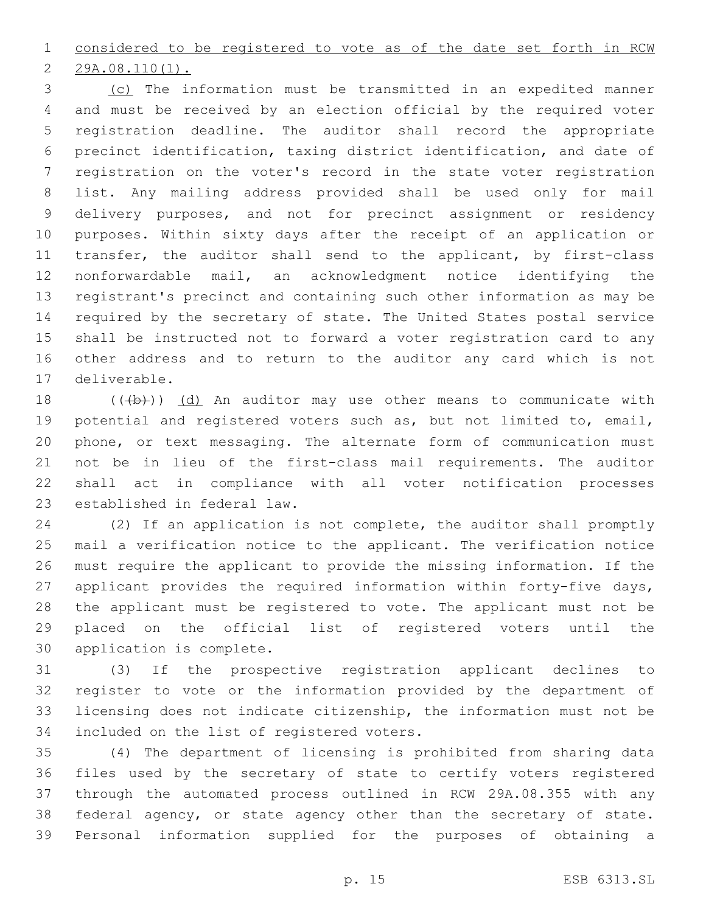considered to be registered to vote as of the date set forth in RCW

29A.08.110(1).2

 (c) The information must be transmitted in an expedited manner and must be received by an election official by the required voter registration deadline. The auditor shall record the appropriate precinct identification, taxing district identification, and date of registration on the voter's record in the state voter registration list. Any mailing address provided shall be used only for mail delivery purposes, and not for precinct assignment or residency purposes. Within sixty days after the receipt of an application or 11 transfer, the auditor shall send to the applicant, by first-class nonforwardable mail, an acknowledgment notice identifying the registrant's precinct and containing such other information as may be required by the secretary of state. The United States postal service shall be instructed not to forward a voter registration card to any other address and to return to the auditor any card which is not 17 deliverable.

 $((+b))$   $(d)$  An auditor may use other means to communicate with potential and registered voters such as, but not limited to, email, phone, or text messaging. The alternate form of communication must not be in lieu of the first-class mail requirements. The auditor shall act in compliance with all voter notification processes 23 established in federal law.

 (2) If an application is not complete, the auditor shall promptly mail a verification notice to the applicant. The verification notice must require the applicant to provide the missing information. If the applicant provides the required information within forty-five days, the applicant must be registered to vote. The applicant must not be placed on the official list of registered voters until the 30 application is complete.

 (3) If the prospective registration applicant declines to register to vote or the information provided by the department of licensing does not indicate citizenship, the information must not be 34 included on the list of registered voters.

 (4) The department of licensing is prohibited from sharing data files used by the secretary of state to certify voters registered through the automated process outlined in RCW 29A.08.355 with any federal agency, or state agency other than the secretary of state. Personal information supplied for the purposes of obtaining a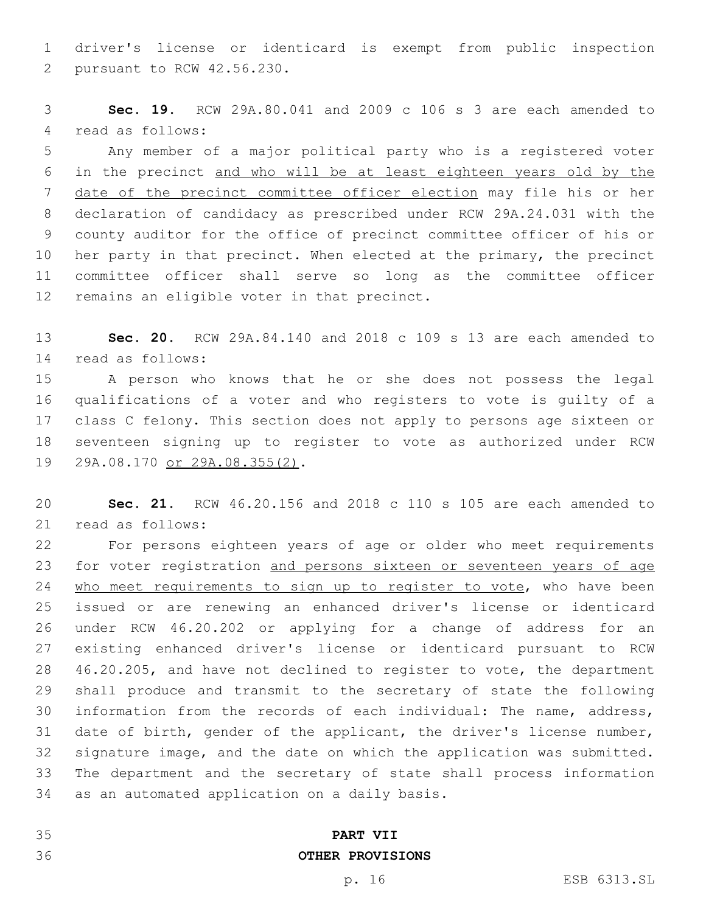driver's license or identicard is exempt from public inspection pursuant to RCW 42.56.230.2

 **Sec. 19.** RCW 29A.80.041 and 2009 c 106 s 3 are each amended to 4 read as follows:

 Any member of a major political party who is a registered voter in the precinct and who will be at least eighteen years old by the date of the precinct committee officer election may file his or her declaration of candidacy as prescribed under RCW 29A.24.031 with the county auditor for the office of precinct committee officer of his or 10 her party in that precinct. When elected at the primary, the precinct committee officer shall serve so long as the committee officer 12 remains an eligible voter in that precinct.

 **Sec. 20.** RCW 29A.84.140 and 2018 c 109 s 13 are each amended to read as follows:14

 A person who knows that he or she does not possess the legal qualifications of a voter and who registers to vote is guilty of a class C felony. This section does not apply to persons age sixteen or seventeen signing up to register to vote as authorized under RCW 19 29A.08.170 or 29A.08.355(2).

 **Sec. 21.** RCW 46.20.156 and 2018 c 110 s 105 are each amended to 21 read as follows:

 For persons eighteen years of age or older who meet requirements for voter registration and persons sixteen or seventeen years of age 24 who meet requirements to sign up to register to vote, who have been issued or are renewing an enhanced driver's license or identicard under RCW 46.20.202 or applying for a change of address for an existing enhanced driver's license or identicard pursuant to RCW 46.20.205, and have not declined to register to vote, the department shall produce and transmit to the secretary of state the following information from the records of each individual: The name, address, date of birth, gender of the applicant, the driver's license number, signature image, and the date on which the application was submitted. The department and the secretary of state shall process information 34 as an automated application on a daily basis.

## **PART VII**

## **OTHER PROVISIONS**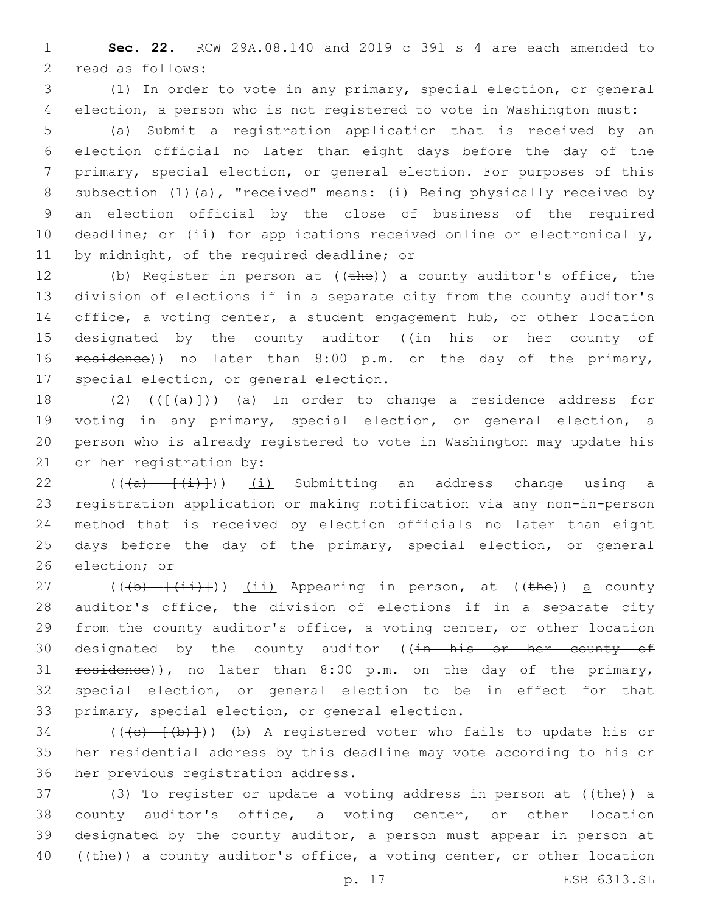1 **Sec. 22.** RCW 29A.08.140 and 2019 c 391 s 4 are each amended to 2 read as follows:

3 (1) In order to vote in any primary, special election, or general 4 election, a person who is not registered to vote in Washington must:

 (a) Submit a registration application that is received by an election official no later than eight days before the day of the primary, special election, or general election. For purposes of this subsection (1)(a), "received" means: (i) Being physically received by an election official by the close of business of the required deadline; or (ii) for applications received online or electronically, 11 by midnight, of the required deadline; or

12 (b) Register in person at  $((the))$  a county auditor's office, the 13 division of elections if in a separate city from the county auditor's 14 office, a voting center, a student engagement hub, or other location 15 designated by the county auditor ((in his or her county of 16 residence)) no later than 8:00 p.m. on the day of the primary, 17 special election, or general election.

 $(2)$   $((+(a)+))$   $(a)$  In order to change a residence address for voting in any primary, special election, or general election, a person who is already registered to vote in Washington may update his 21 or her registration by:

22  $((+a) - (i+1))$  (i) Submitting an address change using a 23 registration application or making notification via any non-in-person 24 method that is received by election officials no later than eight 25 days before the day of the primary, special election, or general 26 election; or

27 (((b)  $\frac{1}{i}$ )) (ii) Appearing in person, at ((the)) a county 28 auditor's office, the division of elections if in a separate city 29 from the county auditor's office, a voting center, or other location 30 designated by the county auditor ((in his or her county of 31 residence)), no later than 8:00 p.m. on the day of the primary, 32 special election, or general election to be in effect for that 33 primary, special election, or general election.

 $34$  (((c)  $\{(b)\})$  (b) A registered voter who fails to update his or 35 her residential address by this deadline may vote according to his or 36 her previous registration address.

37 (3) To register or update a voting address in person at  $((the)$ ) a 38 county auditor's office, a voting center, or other location 39 designated by the county auditor, a person must appear in person at 40 (( $\theta$ ) a county auditor's office, a voting center, or other location